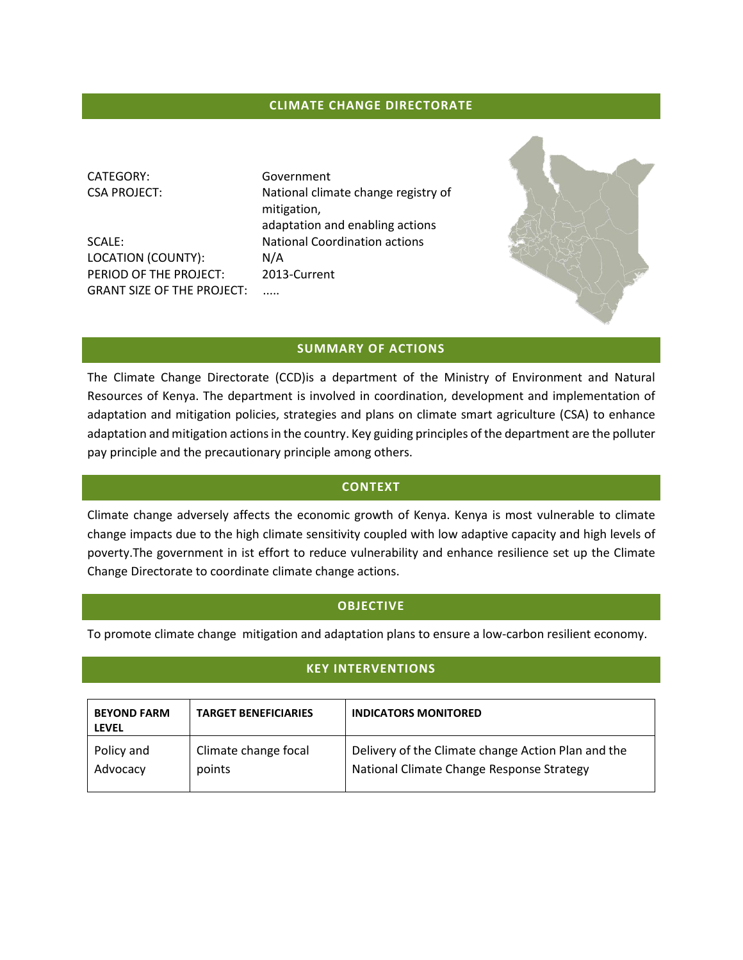## **CLIMATE CHANGE DIRECTORATE**

CATEGORY: Government

LOCATION (COUNTY): N/A PERIOD OF THE PROJECT: 2013-Current GRANT SIZE OF THE PROJECT: .....

CSA PROJECT: National climate change registry of mitigation, adaptation and enabling actions SCALE: National Coordination actions



#### **SUMMARY OF ACTIONS**

The Climate Change Directorate (CCD)is a department of the Ministry of Environment and Natural Resources of Kenya. The department is involved in coordination, development and implementation of adaptation and mitigation policies, strategies and plans on climate smart agriculture (CSA) to enhance adaptation and mitigation actions in the country. Key guiding principles of the department are the polluter pay principle and the precautionary principle among others.

## **CONTEXT**

Climate change adversely affects the economic growth of Kenya. Kenya is most vulnerable to climate change impacts due to the high climate sensitivity coupled with low adaptive capacity and high levels of poverty.The government in ist effort to reduce vulnerability and enhance resilience set up the Climate Change Directorate to coordinate climate change actions.

#### **OBJECTIVE**

To promote climate change mitigation and adaptation plans to ensure a low-carbon resilient economy.

## **KEY INTERVENTIONS**

| <b>BEYOND FARM</b><br><b>LEVEL</b> | <b>TARGET BENEFICIARIES</b> | <b>INDICATORS MONITORED</b>                        |
|------------------------------------|-----------------------------|----------------------------------------------------|
| Policy and                         | Climate change focal        | Delivery of the Climate change Action Plan and the |
| Advocacy                           | points                      | National Climate Change Response Strategy          |